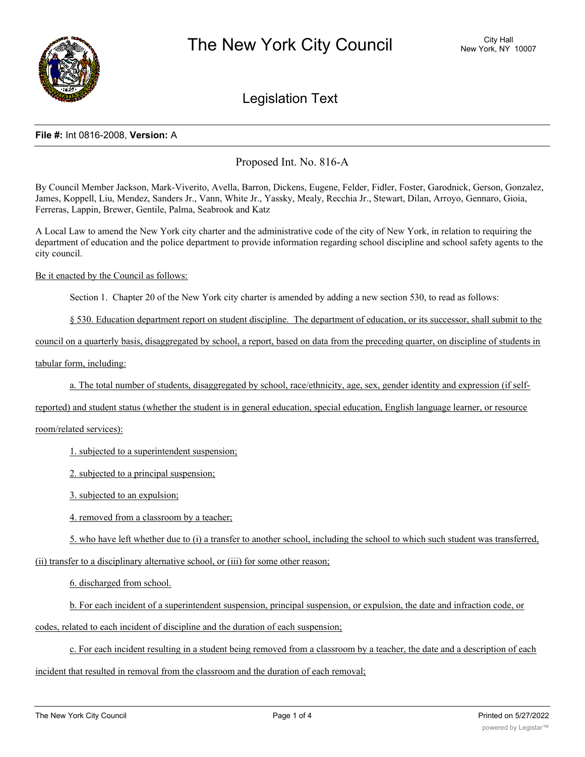

# Legislation Text

#### **File #:** Int 0816-2008, **Version:** A

## Proposed Int. No. 816-A

By Council Member Jackson, Mark-Viverito, Avella, Barron, Dickens, Eugene, Felder, Fidler, Foster, Garodnick, Gerson, Gonzalez, James, Koppell, Liu, Mendez, Sanders Jr., Vann, White Jr., Yassky, Mealy, Recchia Jr., Stewart, Dilan, Arroyo, Gennaro, Gioia, Ferreras, Lappin, Brewer, Gentile, Palma, Seabrook and Katz

A Local Law to amend the New York city charter and the administrative code of the city of New York, in relation to requiring the department of education and the police department to provide information regarding school discipline and school safety agents to the city council.

#### Be it enacted by the Council as follows:

Section 1. Chapter 20 of the New York city charter is amended by adding a new section 530, to read as follows:

§ 530. Education department report on student discipline. The department of education, or its successor, shall submit to the

council on a quarterly basis, disaggregated by school, a report, based on data from the preceding quarter, on discipline of students in

tabular form, including:

a. The total number of students, disaggregated by school, race/ethnicity, age, sex, gender identity and expression (if self-

reported) and student status (whether the student is in general education, special education, English language learner, or resource

#### room/related services):

1. subjected to a superintendent suspension;

2. subjected to a principal suspension;

3. subjected to an expulsion;

4. removed from a classroom by a teacher;

5. who have left whether due to (i) a transfer to another school, including the school to which such student was transferred,

(ii) transfer to a disciplinary alternative school, or (iii) for some other reason;

6. discharged from school.

b. For each incident of a superintendent suspension, principal suspension, or expulsion, the date and infraction code, or codes, related to each incident of discipline and the duration of each suspension;

c. For each incident resulting in a student being removed from a classroom by a teacher, the date and a description of each incident that resulted in removal from the classroom and the duration of each removal;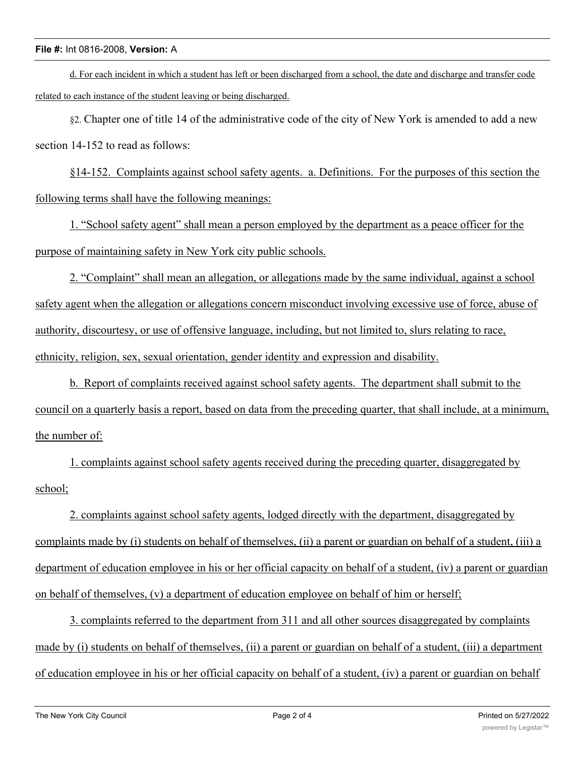### **File #:** Int 0816-2008, **Version:** A

d. For each incident in which a student has left or been discharged from a school, the date and discharge and transfer code related to each instance of the student leaving or being discharged.

§2. Chapter one of title 14 of the administrative code of the city of New York is amended to add a new section 14-152 to read as follows:

§14-152. Complaints against school safety agents. a. Definitions. For the purposes of this section the following terms shall have the following meanings:

1. "School safety agent" shall mean a person employed by the department as a peace officer for the purpose of maintaining safety in New York city public schools.

2. "Complaint" shall mean an allegation, or allegations made by the same individual, against a school safety agent when the allegation or allegations concern misconduct involving excessive use of force, abuse of authority, discourtesy, or use of offensive language, including, but not limited to, slurs relating to race, ethnicity, religion, sex, sexual orientation, gender identity and expression and disability.

b. Report of complaints received against school safety agents. The department shall submit to the council on a quarterly basis a report, based on data from the preceding quarter, that shall include, at a minimum, the number of:

1. complaints against school safety agents received during the preceding quarter, disaggregated by school;

2. complaints against school safety agents, lodged directly with the department, disaggregated by complaints made by (i) students on behalf of themselves, (ii) a parent or guardian on behalf of a student, (iii) a department of education employee in his or her official capacity on behalf of a student, (iv) a parent or guardian on behalf of themselves, (v) a department of education employee on behalf of him or herself;

3. complaints referred to the department from 311 and all other sources disaggregated by complaints made by (i) students on behalf of themselves, (ii) a parent or guardian on behalf of a student, (iii) a department of education employee in his or her official capacity on behalf of a student, (iv) a parent or guardian on behalf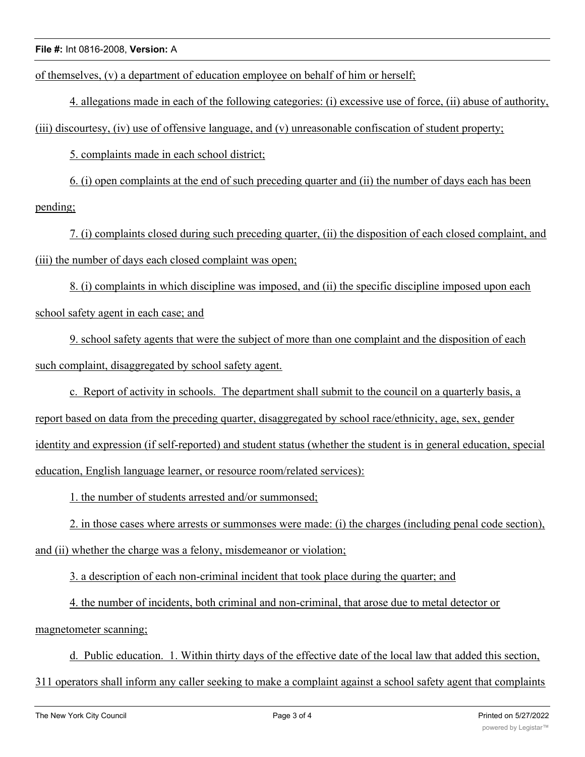of themselves, (v) a department of education employee on behalf of him or herself;

4. allegations made in each of the following categories: (i) excessive use of force, (ii) abuse of authority,

(iii) discourtesy, (iv) use of offensive language, and (v) unreasonable confiscation of student property;

5. complaints made in each school district;

6. (i) open complaints at the end of such preceding quarter and (ii) the number of days each has been pending;

7. (i) complaints closed during such preceding quarter, (ii) the disposition of each closed complaint, and (iii) the number of days each closed complaint was open;

8. (i) complaints in which discipline was imposed, and (ii) the specific discipline imposed upon each school safety agent in each case; and

9. school safety agents that were the subject of more than one complaint and the disposition of each such complaint, disaggregated by school safety agent.

c. Report of activity in schools. The department shall submit to the council on a quarterly basis, a report based on data from the preceding quarter, disaggregated by school race/ethnicity, age, sex, gender identity and expression (if self-reported) and student status (whether the student is in general education, special education, English language learner, or resource room/related services):

1. the number of students arrested and/or summonsed;

2. in those cases where arrests or summonses were made: (i) the charges (including penal code section), and (ii) whether the charge was a felony, misdemeanor or violation;

3. a description of each non-criminal incident that took place during the quarter; and

4. the number of incidents, both criminal and non-criminal, that arose due to metal detector or magnetometer scanning;

d. Public education. 1. Within thirty days of the effective date of the local law that added this section,

311 operators shall inform any caller seeking to make a complaint against a school safety agent that complaints